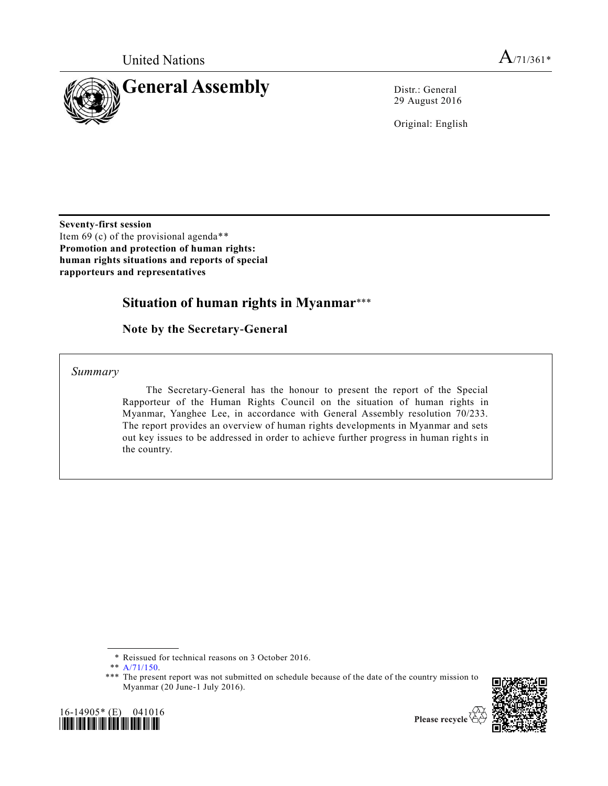

29 August 2016

Original: English

**Seventy-first session** Item 69 (c) of the provisional agenda\*\* **Promotion and protection of human rights: human rights situations and reports of special rapporteurs and representatives**

# **Situation of human rights in Myanmar**\*\*\*

**Note by the Secretary-General**

*Summary*

The Secretary-General has the honour to present the report of the Special Rapporteur of the Human Rights Council on the situation of human rights in Myanmar, Yanghee Lee, in accordance with General Assembly resolution 70/233. The report provides an overview of human rights developments in Myanmar and sets out key issues to be addressed in order to achieve further progress in human rights in the country.

<sup>\*\*\*</sup> The present report was not submitted on schedule because of the date of the country mission to Myanmar (20 June-1 July 2016).



<sup>\*</sup> Reissued for technical reasons on 3 October 2016.

<sup>\*\*</sup> [A/71/150.](http://undocs.org/A/71/150)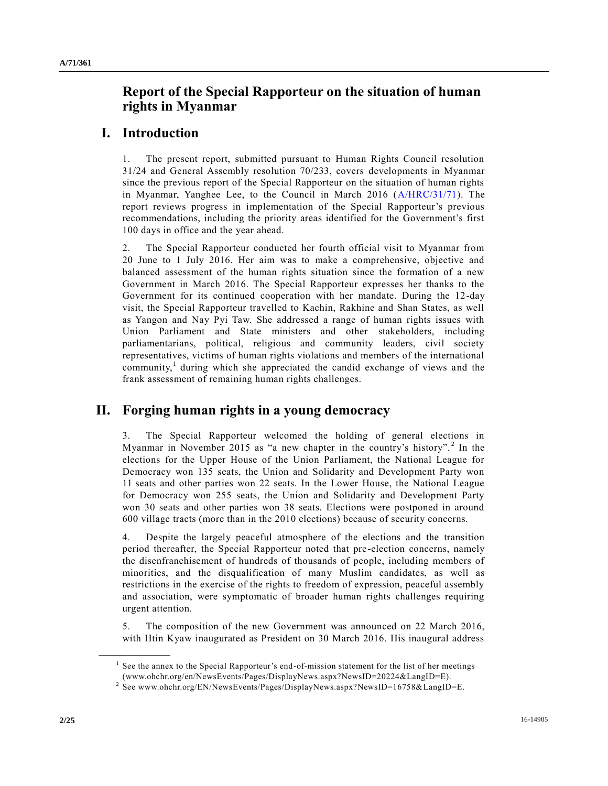# **Report of the Special Rapporteur on the situation of human rights in Myanmar**

## **I. Introduction**

1. The present report, submitted pursuant to Human Rights Council resolution 31/24 and General Assembly resolution 70/233, covers developments in Myanmar since the previous report of the Special Rapporteur on the situation of human rights in Myanmar, Yanghee Lee, to the Council in March 2016 [\(A/HRC/31/71\)](http://undocs.org/A/HRC/31/71). The report reviews progress in implementation of the Special Rapporteur's previous recommendations, including the priority areas identified for the Government's first 100 days in office and the year ahead.

2. The Special Rapporteur conducted her fourth official visit to Myanmar from 20 June to 1 July 2016. Her aim was to make a comprehensive, objective and balanced assessment of the human rights situation since the formation of a new Government in March 2016. The Special Rapporteur expresses her thanks to the Government for its continued cooperation with her mandate. During the 12-day visit, the Special Rapporteur travelled to Kachin, Rakhine and Shan States, as well as Yangon and Nay Pyi Taw. She addressed a range of human rights issues with Union Parliament and State ministers and other stakeholders, including parliamentarians, political, religious and community leaders, civil society representatives, victims of human rights violations and members of the international community,<sup>1</sup> during which she appreciated the candid exchange of views and the frank assessment of remaining human rights challenges.

## **II. Forging human rights in a young democracy**

3. The Special Rapporteur welcomed the holding of general elections in Myanmar in November 2015 as "a new chapter in the country's history".<sup>2</sup> In the elections for the Upper House of the Union Parliament, the National League for Democracy won 135 seats, the Union and Solidarity and Development Party won 11 seats and other parties won 22 seats. In the Lower House, the National League for Democracy won 255 seats, the Union and Solidarity and Development Party won 30 seats and other parties won 38 seats. Elections were postponed in around 600 village tracts (more than in the 2010 elections) because of security concerns.

Despite the largely peaceful atmosphere of the elections and the transition period thereafter, the Special Rapporteur noted that pre-election concerns, namely the disenfranchisement of hundreds of thousands of people, including members of minorities, and the disqualification of many Muslim candidates, as well as restrictions in the exercise of the rights to freedom of expression, peaceful assembly and association, were symptomatic of broader human rights challenges requiring urgent attention.

5. The composition of the new Government was announced on 22 March 2016, with Htin Kyaw inaugurated as President on 30 March 2016. His inaugural address

<sup>&</sup>lt;sup>1</sup> See the annex to the Special Rapporteur's end-of-mission statement for the list of her meetings (www.ohchr.org/en/NewsEvents/Pages/DisplayNews.aspx?NewsID=20224&LangID=E).

<sup>&</sup>lt;sup>2</sup> See www.ohchr.org/EN/NewsEvents/Pages/DisplayNews.aspx?NewsID=16758&LangID=E.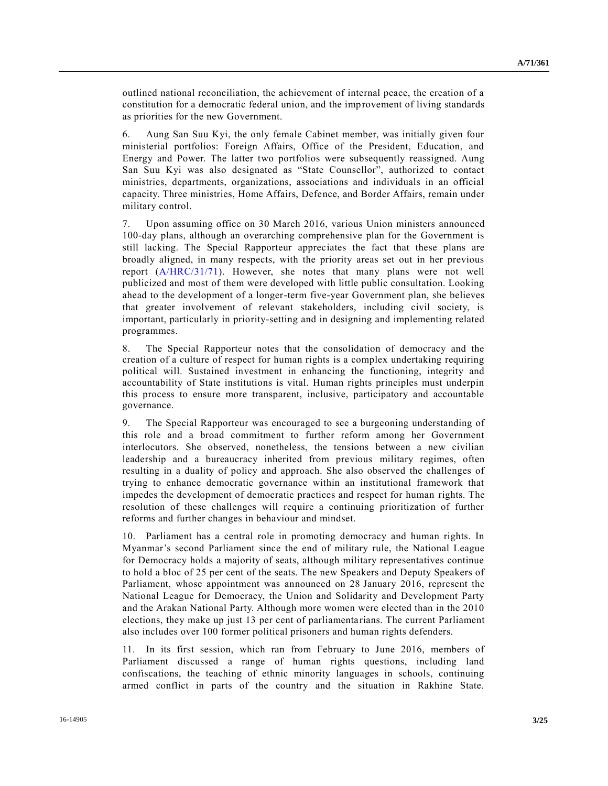outlined national reconciliation, the achievement of internal peace, the creation of a constitution for a democratic federal union, and the improvement of living standards as priorities for the new Government.

6. Aung San Suu Kyi, the only female Cabinet member, was initially given four ministerial portfolios: Foreign Affairs, Office of the President, Education, and Energy and Power. The latter two portfolios were subsequently reassigned. Aung San Suu Kyi was also designated as "State Counsellor", authorized to contact ministries, departments, organizations, associations and individuals in an official capacity. Three ministries, Home Affairs, Defence, and Border Affairs, remain under military control.

7. Upon assuming office on 30 March 2016, various Union ministers announced 100-day plans, although an overarching comprehensive plan for the Government is still lacking. The Special Rapporteur appreciates the fact that these plans are broadly aligned, in many respects, with the priority areas set out in her previous report [\(A/HRC/31/71\)](http://undocs.org/A/HRC/31/71). However, she notes that many plans were not well publicized and most of them were developed with little public consultation. Looking ahead to the development of a longer-term five-year Government plan, she believes that greater involvement of relevant stakeholders, including civil society, is important, particularly in priority-setting and in designing and implementing related programmes.

8. The Special Rapporteur notes that the consolidation of democracy and the creation of a culture of respect for human rights is a complex undertaking requiring political will. Sustained investment in enhancing the functioning, integrity and accountability of State institutions is vital. Human rights principles must underpin this process to ensure more transparent, inclusive, participatory and accountable governance.

9. The Special Rapporteur was encouraged to see a burgeoning understanding of this role and a broad commitment to further reform among her Government interlocutors. She observed, nonetheless, the tensions between a new civilian leadership and a bureaucracy inherited from previous military regimes, often resulting in a duality of policy and approach. She also observed the challenges of trying to enhance democratic governance within an institutional framework that impedes the development of democratic practices and respect for human rights. The resolution of these challenges will require a continuing prioritization of further reforms and further changes in behaviour and mindset.

10. Parliament has a central role in promoting democracy and human rights. In Myanmar's second Parliament since the end of military rule, the National League for Democracy holds a majority of seats, although military representatives continue to hold a bloc of 25 per cent of the seats. The new Speakers and Deputy Speakers of Parliament, whose appointment was announced on 28 January 2016, represent the National League for Democracy, the Union and Solidarity and Development Party and the Arakan National Party. Although more women were elected than in the 2010 elections, they make up just 13 per cent of parliamentarians. The current Parliament also includes over 100 former political prisoners and human rights defenders.

11. In its first session, which ran from February to June 2016, members of Parliament discussed a range of human rights questions, including land confiscations, the teaching of ethnic minority languages in schools, continuing armed conflict in parts of the country and the situation in Rakhine State.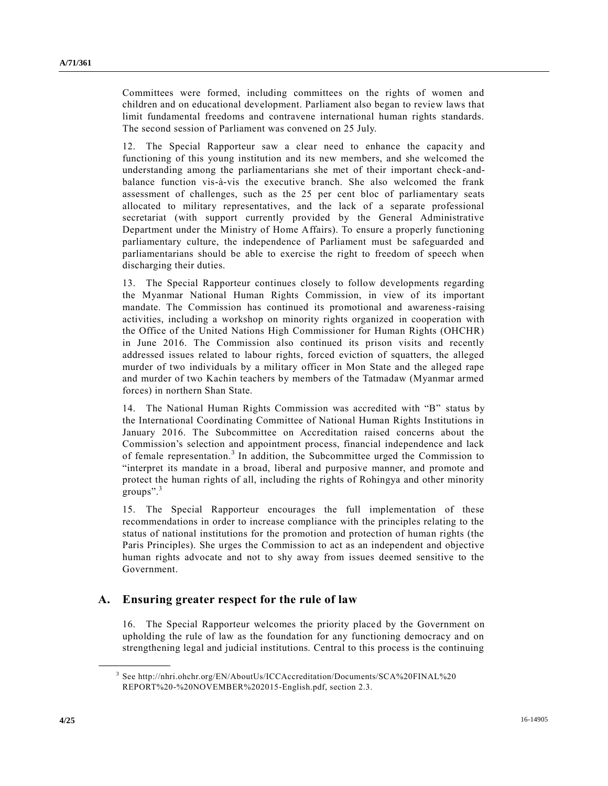Committees were formed, including committees on the rights of women and children and on educational development. Parliament also began to review laws that limit fundamental freedoms and contravene international human rights standards. The second session of Parliament was convened on 25 July.

12. The Special Rapporteur saw a clear need to enhance the capacity and functioning of this young institution and its new members, and she welcomed the understanding among the parliamentarians she met of their important check-andbalance function vis-à-vis the executive branch. She also welcomed the frank assessment of challenges, such as the 25 per cent bloc of parliamentary seats allocated to military representatives, and the lack of a separate professional secretariat (with support currently provided by the General Administrative Department under the Ministry of Home Affairs). To ensure a properly functioning parliamentary culture, the independence of Parliament must be safeguarded and parliamentarians should be able to exercise the right to freedom of speech when discharging their duties.

13. The Special Rapporteur continues closely to follow developments regarding the Myanmar National Human Rights Commission, in view of its important mandate. The Commission has continued its promotional and awareness-raising activities, including a workshop on minority rights organized in cooperation with the Office of the United Nations High Commissioner for Human Rights (OHCHR) in June 2016. The Commission also continued its prison visits and recently addressed issues related to labour rights, forced eviction of squatters, the alleged murder of two individuals by a military officer in Mon State and the alleged rape and murder of two Kachin teachers by members of the Tatmadaw (Myanmar armed forces) in northern Shan State.

14. The National Human Rights Commission was accredited with "B" status by the International Coordinating Committee of National Human Rights Institutions in January 2016. The Subcommittee on Accreditation raised concerns about the Commission's selection and appointment process, financial independence and lack of female representation.<sup>3</sup> In addition, the Subcommittee urged the Commission to "interpret its mandate in a broad, liberal and purposive manner, and promote and protect the human rights of all, including the rights of Rohingya and other minority groups".<sup>3</sup>

15. The Special Rapporteur encourages the full implementation of these recommendations in order to increase compliance with the principles relating to the status of national institutions for the promotion and protection of human rights (the Paris Principles). She urges the Commission to act as an independent and objective human rights advocate and not to shy away from issues deemed sensitive to the Government.

### **A. Ensuring greater respect for the rule of law**

16. The Special Rapporteur welcomes the priority placed by the Government on upholding the rule of law as the foundation for any functioning democracy and on strengthening legal and judicial institutions. Central to this process is the continuing

<sup>3</sup> See http://nhri.ohchr.org/EN/AboutUs/ICCAccreditation/Documents/SCA%20FINAL%20 REPORT%20-%20NOVEMBER%202015-English.pdf, section 2.3.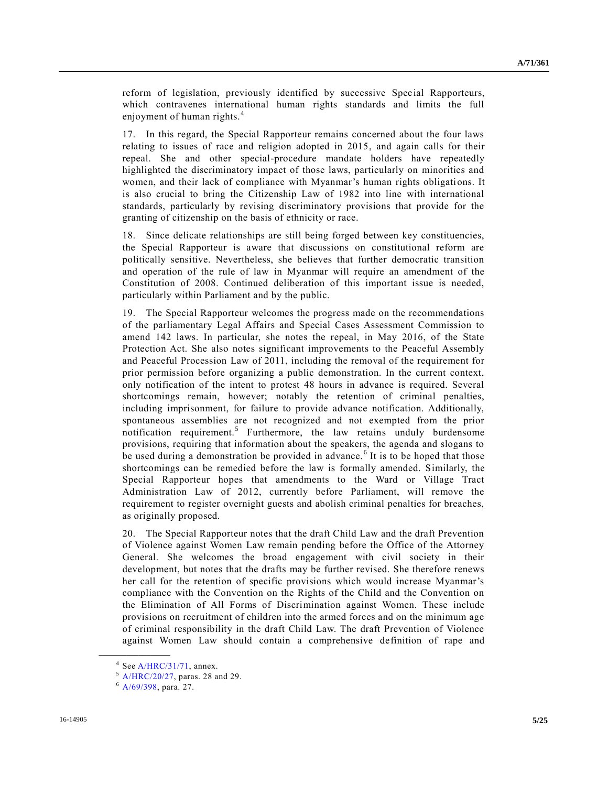reform of legislation, previously identified by successive Special Rapporteurs, which contravenes international human rights standards and limits the full enjoyment of human rights.<sup>4</sup>

17. In this regard, the Special Rapporteur remains concerned about the four laws relating to issues of race and religion adopted in 2015, and again calls for their repeal. She and other special-procedure mandate holders have repeatedly highlighted the discriminatory impact of those laws, particularly on minorities and women, and their lack of compliance with Myanmar's human rights obligations. It is also crucial to bring the Citizenship Law of 1982 into line with international standards, particularly by revising discriminatory provisions that provide for the granting of citizenship on the basis of ethnicity or race.

18. Since delicate relationships are still being forged between key constituencies, the Special Rapporteur is aware that discussions on constitutional reform are politically sensitive. Nevertheless, she believes that further democratic transition and operation of the rule of law in Myanmar will require an amendment of the Constitution of 2008. Continued deliberation of this important issue is needed, particularly within Parliament and by the public.

19. The Special Rapporteur welcomes the progress made on the recommendations of the parliamentary Legal Affairs and Special Cases Assessment Commission to amend 142 laws. In particular, she notes the repeal, in May 2016, of the State Protection Act. She also notes significant improvements to the Peaceful Assembly and Peaceful Procession Law of 2011, including the removal of the requirement for prior permission before organizing a public demonstration. In the current context, only notification of the intent to protest 48 hours in advance is required. Several shortcomings remain, however; notably the retention of criminal penalties, including imprisonment, for failure to provide advance notification. Additionally, spontaneous assemblies are not recognized and not exempted from the prior notification requirement.<sup>5</sup> Furthermore, the law retains unduly burdensome provisions, requiring that information about the speakers, the agenda and slogans to be used during a demonstration be provided in advance.<sup>6</sup> It is to be hoped that those shortcomings can be remedied before the law is formally amended. Similarly, the Special Rapporteur hopes that amendments to the Ward or Village Tract Administration Law of 2012, currently before Parliament, will remove the requirement to register overnight guests and abolish criminal penalties for breaches, as originally proposed.

20. The Special Rapporteur notes that the draft Child Law and the draft Prevention of Violence against Women Law remain pending before the Office of the Attorney General. She welcomes the broad engagement with civil society in their development, but notes that the drafts may be further revised. She therefore renews her call for the retention of specific provisions which would increase Myanmar's compliance with the Convention on the Rights of the Child and the Convention on the Elimination of All Forms of Discrimination against Women. These include provisions on recruitment of children into the armed forces and on the minimum age of criminal responsibility in the draft Child Law. The draft Prevention of Violence against Women Law should contain a comprehensive definition of rape and

 $4$  Se[e A/HRC/31/71,](http://undocs.org/A/HRC/31/71) annex.

<sup>5</sup> [A/HRC/20/27,](http://undocs.org/A/HRC/20/27) paras. 28 and 29.

 $6$  [A/69/398,](http://undocs.org/A/69/398) para. 27.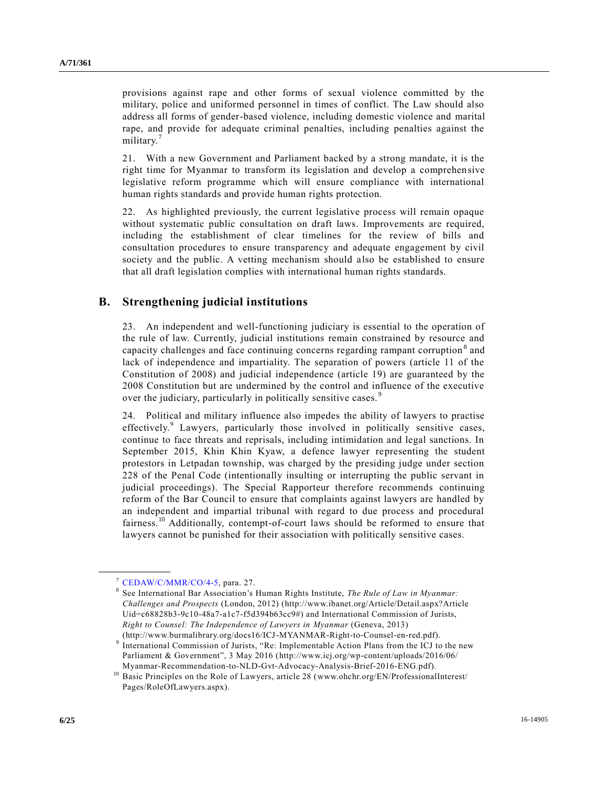provisions against rape and other forms of sexual violence committed by the military, police and uniformed personnel in times of conflict. The Law should also address all forms of gender-based violence, including domestic violence and marital rape, and provide for adequate criminal penalties, including penalties against the military.<sup>7</sup>

21. With a new Government and Parliament backed by a strong mandate, it is the right time for Myanmar to transform its legislation and develop a comprehensive legislative reform programme which will ensure compliance with international human rights standards and provide human rights protection.

22. As highlighted previously, the current legislative process will remain opaque without systematic public consultation on draft laws. Improvements are required, including the establishment of clear timelines for the review of bills and consultation procedures to ensure transparency and adequate engagement by civil society and the public. A vetting mechanism should also be established to ensure that all draft legislation complies with international human rights standards.

### **B. Strengthening judicial institutions**

23. An independent and well-functioning judiciary is essential to the operation of the rule of law. Currently, judicial institutions remain constrained by resource and capacity challenges and face continuing concerns regarding rampant corruption<sup>8</sup> and lack of independence and impartiality. The separation of powers (article 11 of the Constitution of 2008) and judicial independence (article 19) are guaranteed by the 2008 Constitution but are undermined by the control and influence of the executive over the judiciary, particularly in politically sensitive cases.<sup>9</sup>

24. Political and military influence also impedes the ability of lawyers to practise effectively.<sup>9</sup> Lawyers, particularly those involved in politically sensitive cases, continue to face threats and reprisals, including intimidation and legal sanctions. In September 2015, Khin Khin Kyaw, a defence lawyer representing the student protestors in Letpadan township, was charged by the presiding judge under section 228 of the Penal Code (intentionally insulting or interrupting the public servant in judicial proceedings). The Special Rapporteur therefore recommends continuing reform of the Bar Council to ensure that complaints against lawyers are handled by an independent and impartial tribunal with regard to due process and procedural fairness.<sup>10</sup> Additionally, contempt-of-court laws should be reformed to ensure that lawyers cannot be punished for their association with politically sensitive cases.

 $7$  [CEDAW/C/MMR/CO/4-5,](http://undocs.org/CEDAW/C/MMR/CO) para. 27.

<sup>8</sup> See International Bar Association's Human Rights Institute, *The Rule of Law in Myanmar: Challenges and Prospects* (London, 2012) (http://www.ibanet.org/Article/Detail.aspx?Article Uid=c68828b3-9c10-48a7-a1c7-f5d394b63cc9#) and International Commission of Jurists, *Right to Counsel: The Independence of Lawyers in Myanmar* (Geneva, 2013) (http://www.burmalibrary.org/docs16/ICJ-MYANMAR-Right-to-Counsel-en-red.pdf).

<sup>&</sup>lt;sup>9</sup> International Commission of Jurists, "Re: Implementable Action Plans from the ICJ to the new Parliament & Government", 3 May 2016 (http://www.icj.org/wp-content/uploads/2016/06/ Myanmar-Recommendation-to-NLD-Gvt-Advocacy-Analysis-Brief-2016-ENG.pdf).

<sup>&</sup>lt;sup>10</sup> Basic Principles on the Role of Lawyers, article 28 (www.ohchr.org/EN/ProfessionalInterest/ Pages/RoleOfLawyers.aspx).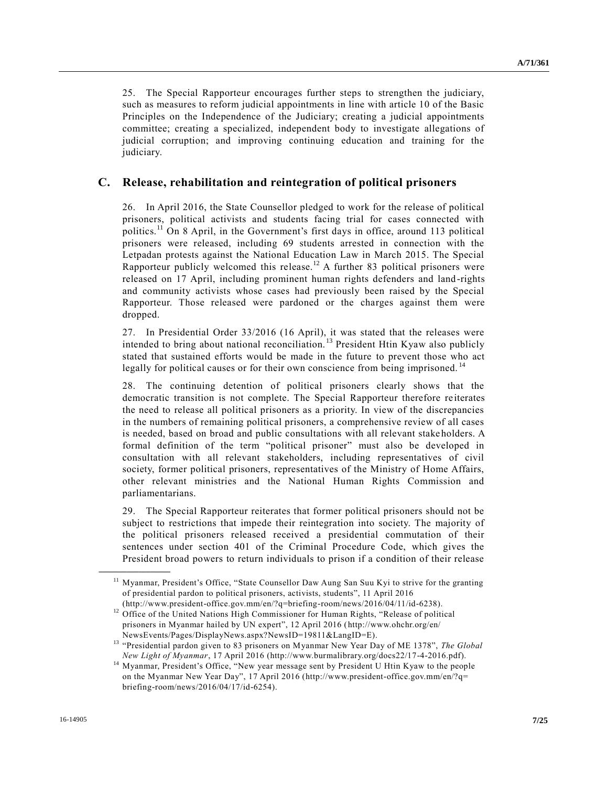25. The Special Rapporteur encourages further steps to strengthen the judiciary, such as measures to reform judicial appointments in line with article 10 of the Basic Principles on the Independence of the Judiciary; creating a judicial appointments committee; creating a specialized, independent body to investigate allegations of judicial corruption; and improving continuing education and training for the judiciary.

### **C. Release, rehabilitation and reintegration of political prisoners**

26. In April 2016, the State Counsellor pledged to work for the release of political prisoners, political activists and students facing trial for cases connected with politics.<sup>11</sup> On 8 April, in the Government's first days in office, around 113 political prisoners were released, including 69 students arrested in connection with the Letpadan protests against the National Education Law in March 2015. The Special Rapporteur publicly welcomed this release.<sup>12</sup> A further 83 political prisoners were released on 17 April, including prominent human rights defenders and land-rights and community activists whose cases had previously been raised by the Special Rapporteur. Those released were pardoned or the charges against them were dropped.

27. In Presidential Order 33/2016 (16 April), it was stated that the releases were intended to bring about national reconciliation. <sup>13</sup> President Htin Kyaw also publicly stated that sustained efforts would be made in the future to prevent those who act legally for political causes or for their own conscience from being imprisoned.<sup>14</sup>

28. The continuing detention of political prisoners clearly shows that the democratic transition is not complete. The Special Rapporteur therefore reiterates the need to release all political prisoners as a priority. In view of the discrepancies in the numbers of remaining political prisoners, a comprehensive review of all cases is needed, based on broad and public consultations with all relevant stakeholders. A formal definition of the term "political prisoner" must also be developed in consultation with all relevant stakeholders, including representatives of civil society, former political prisoners, representatives of the Ministry of Home Affairs, other relevant ministries and the National Human Rights Commission and parliamentarians.

29. The Special Rapporteur reiterates that former political prisoners should not be subject to restrictions that impede their reintegration into society. The majority of the political prisoners released received a presidential commutation of their sentences under section 401 of the Criminal Procedure Code, which gives the President broad powers to return individuals to prison if a condition of their release

<sup>&</sup>lt;sup>11</sup> Myanmar, President's Office, "State Counsellor Daw Aung San Suu Kyi to strive for the granting of presidential pardon to political prisoners, activists, students", 11 April 2016

<sup>(</sup>http://www.president-office.gov.mm/en/?q=briefing-room/news/2016/04/11/id-6238). <sup>12</sup> Office of the United Nations High Commissioner for Human Rights, "Release of political prisoners in Myanmar hailed by UN expert", 12 April 2016 (http://www.ohchr.org/en/ NewsEvents/Pages/DisplayNews.aspx?NewsID=19811&LangID=E).

<sup>13</sup> "Presidential pardon given to 83 prisoners on Myanmar New Year Day of ME 1378", *The Global New Light of Myanmar*, 17 April 2016 (http://www.burmalibrary.org/docs22/17-4-2016.pdf).

<sup>&</sup>lt;sup>14</sup> Myanmar, President's Office, "New year message sent by President U Htin Kyaw to the people on the Myanmar New Year Day", 17 April 2016 (http://www.president-office.gov.mm/en/?q= briefing-room/news/2016/04/17/id-6254).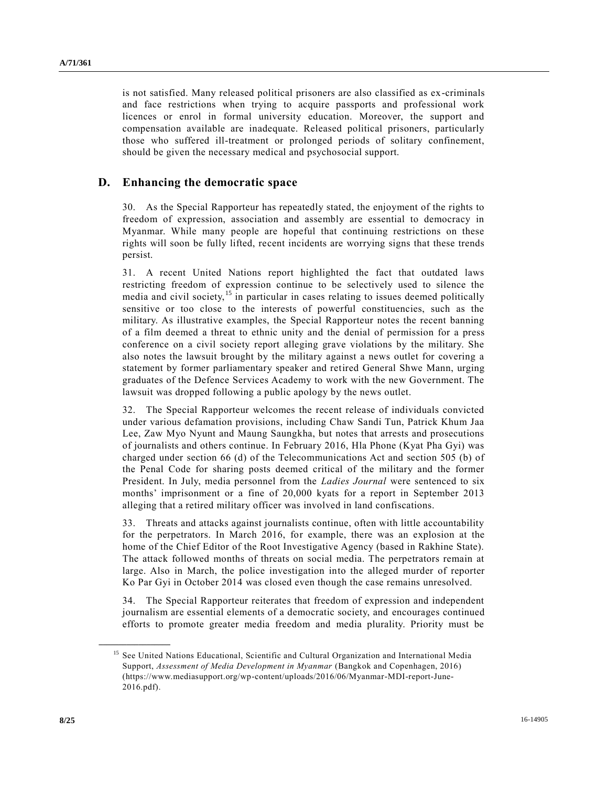is not satisfied. Many released political prisoners are also classified as ex-criminals and face restrictions when trying to acquire passports and professional work licences or enrol in formal university education. Moreover, the support and compensation available are inadequate. Released political prisoners, particularly those who suffered ill-treatment or prolonged periods of solitary confinement, should be given the necessary medical and psychosocial support.

#### **D. Enhancing the democratic space**

30. As the Special Rapporteur has repeatedly stated, the enjoyment of the rights to freedom of expression, association and assembly are essential to democracy in Myanmar. While many people are hopeful that continuing restrictions on these rights will soon be fully lifted, recent incidents are worrying signs that these trends persist.

31. A recent United Nations report highlighted the fact that outdated laws restricting freedom of expression continue to be selectively used to silence the media and civil society,<sup>15</sup> in particular in cases relating to issues deemed politically sensitive or too close to the interests of powerful constituencies, such as the military. As illustrative examples, the Special Rapporteur notes the recent banning of a film deemed a threat to ethnic unity and the denial of permission for a press conference on a civil society report alleging grave violations by the military. She also notes the lawsuit brought by the military against a news outlet for covering a statement by former parliamentary speaker and retired General Shwe Mann, urging graduates of the Defence Services Academy to work with the new Government. The lawsuit was dropped following a public apology by the news outlet.

32. The Special Rapporteur welcomes the recent release of individuals convicted under various defamation provisions, including Chaw Sandi Tun, Patrick Khum Jaa Lee, Zaw Myo Nyunt and Maung Saungkha, but notes that arrests and prosecutions of journalists and others continue. In February 2016, Hla Phone (Kyat Pha Gyi) was charged under section 66 (d) of the Telecommunications Act and section 505 (b) of the Penal Code for sharing posts deemed critical of the military and the former President. In July, media personnel from the *Ladies Journal* were sentenced to six months' imprisonment or a fine of 20,000 kyats for a report in September 2013 alleging that a retired military officer was involved in land confiscations.

33. Threats and attacks against journalists continue, often with little accountability for the perpetrators. In March 2016, for example, there was an explosion at the home of the Chief Editor of the Root Investigative Agency (based in Rakhine State). The attack followed months of threats on social media. The perpetrators remain at large. Also in March, the police investigation into the alleged murder of reporter Ko Par Gyi in October 2014 was closed even though the case remains unresolved.

34. The Special Rapporteur reiterates that freedom of expression and independent journalism are essential elements of a democratic society, and encourages continued efforts to promote greater media freedom and media plurality. Priority must be

<sup>&</sup>lt;sup>15</sup> See United Nations Educational, Scientific and Cultural Organization and International Media Support, *Assessment of Media Development in Myanmar* (Bangkok and Copenhagen, 2016) (https://www.mediasupport.org/wp-content/uploads/2016/06/Myanmar-MDI-report-June-2016.pdf).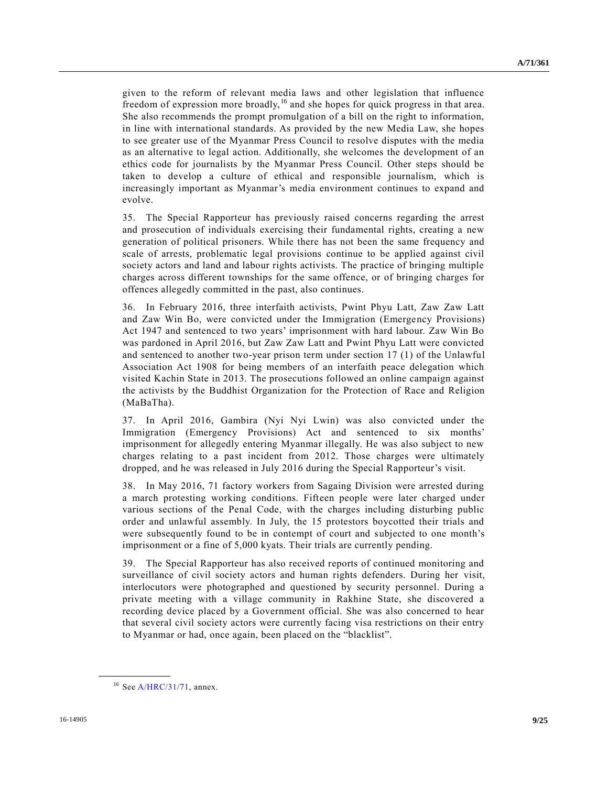given to the reform of relevant media laws and other legislation that influence freedom of expression more broadly, <sup>16</sup> and she hopes for quick progress in that area. She also recommends the prompt promulgation of a bill on the right to information, in line with international standards. As provided by the new Media Law, she hopes to see greater use of the Myanmar Press Council to resolve disputes with the media as an alternative to legal action. Additionally, she welcomes the development of an ethics code for journalists by the Myanmar Press Council. Other steps should be taken to develop a culture of ethical and responsible journalism, which is increasingly important as Myanmar's media environment continues to expand and evolve.

35. The Special Rapporteur has previously raised concerns regarding the arrest and prosecution of individuals exercising their fundamental rights, creating a new generation of political prisoners. While there has not been the same frequency and scale of arrests, problematic legal provisions continue to be applied against civil society actors and land and labour rights activists. The practice of bringing multiple charges across different townships for the same offence, or of bringing charges for offences allegedly committed in the past, also continues.

36. In February 2016, three interfaith activists, Pwint Phyu Latt, Zaw Zaw Latt and Zaw Win Bo, were convicted under the Immigration (Emergency Provisions) Act 1947 and sentenced to two years' imprisonment with hard labour. Zaw Win Bo was pardoned in April 2016, but Zaw Zaw Latt and Pwint Phyu Latt were convicted and sentenced to another two-year prison term under section 17 (1) of the Unlawful Association Act 1908 for being members of an interfaith peace delegation which visited Kachin State in 2013. The prosecutions followed an online campaign against the activists by the Buddhist Organization for the Protection of Race and Religion (MaBaTha).

37. In April 2016, Gambira (Nyi Nyi Lwin) was also convicted under the Immigration (Emergency Provisions) Act and sentenced to six months' imprisonment for allegedly entering Myanmar illegally. He was also subject to new charges relating to a past incident from 2012. Those charges were ultimately dropped, and he was released in July 2016 during the Special Rapporteur's visit.

38. In May 2016, 71 factory workers from Sagaing Division were arrested during a march protesting working conditions. Fifteen people were later charged under various sections of the Penal Code, with the charges including disturbing public order and unlawful assembly. In July, the 15 protestors boycotted their trials and were subsequently found to be in contempt of court and subjected to one month's imprisonment or a fine of 5,000 kyats. Their trials are currently pending.

39. The Special Rapporteur has also received reports of continued monitoring and surveillance of civil society actors and human rights defenders. During her visit, interlocutors were photographed and questioned by security personnel. During a private meeting with a village community in Rakhine State, she discovered a recording device placed by a Government official. She was also concerned to hear that several civil society actors were currently facing visa restrictions on their entry to Myanmar or had, once again, been placed on the "blacklist".

 $16$  Se[e A/HRC/31/71,](http://undocs.org/A/HRC/31/71) annex.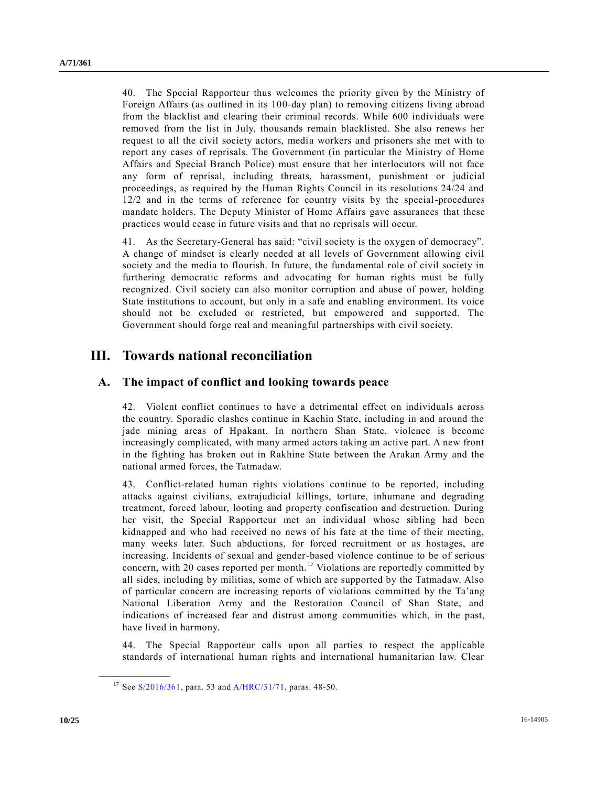40. The Special Rapporteur thus welcomes the priority given by the Ministry of Foreign Affairs (as outlined in its 100-day plan) to removing citizens living abroad from the blacklist and clearing their criminal records. While 600 individuals were removed from the list in July, thousands remain blacklisted. She also renews her request to all the civil society actors, media workers and prisoners she met with to report any cases of reprisals. The Government (in particular the Ministry of Home Affairs and Special Branch Police) must ensure that her interlocutors will not face any form of reprisal, including threats, harassment, punishment or judicial proceedings, as required by the Human Rights Council in its resolutions 24/24 and 12/2 and in the terms of reference for country visits by the special-procedures mandate holders. The Deputy Minister of Home Affairs gave assurances that these practices would cease in future visits and that no reprisals will occur.

41. As the Secretary-General has said: "civil society is the oxygen of democracy". A change of mindset is clearly needed at all levels of Government allowing civil society and the media to flourish. In future, the fundamental role of civil society in furthering democratic reforms and advocating for human rights must be fully recognized. Civil society can also monitor corruption and abuse of power, holding State institutions to account, but only in a safe and enabling environment. Its voice should not be excluded or restricted, but empowered and supported. The Government should forge real and meaningful partnerships with civil society.

## **III. Towards national reconciliation**

#### **A. The impact of conflict and looking towards peace**

42. Violent conflict continues to have a detrimental effect on individuals across the country. Sporadic clashes continue in Kachin State, including in and around the jade mining areas of Hpakant. In northern Shan State, violence is become increasingly complicated, with many armed actors taking an active part. A new front in the fighting has broken out in Rakhine State between the Arakan Army and the national armed forces, the Tatmadaw.

43. Conflict-related human rights violations continue to be reported, including attacks against civilians, extrajudicial killings, torture, inhumane and degrading treatment, forced labour, looting and property confiscation and destruction. During her visit, the Special Rapporteur met an individual whose sibling had been kidnapped and who had received no news of his fate at the time of their meeting, many weeks later. Such abductions, for forced recruitment or as hostages, are increasing. Incidents of sexual and gender-based violence continue to be of serious concern, with 20 cases reported per month.<sup>17</sup> Violations are reportedly committed by all sides, including by militias, some of which are supported by the Tatmadaw. Also of particular concern are increasing reports of violations committed by the Ta'ang National Liberation Army and the Restoration Council of Shan State, and indications of increased fear and distrust among communities which, in the past, have lived in harmony.

44. The Special Rapporteur calls upon all parties to respect the applicable standards of international human rights and international humanitarian law. Clear

<sup>&</sup>lt;sup>17</sup> See [S/2016/361,](http://undocs.org/S/2016/361) para. 53 and [A/HRC/31/71,](http://undocs.org/A/HRC/31/71) paras. 48-50.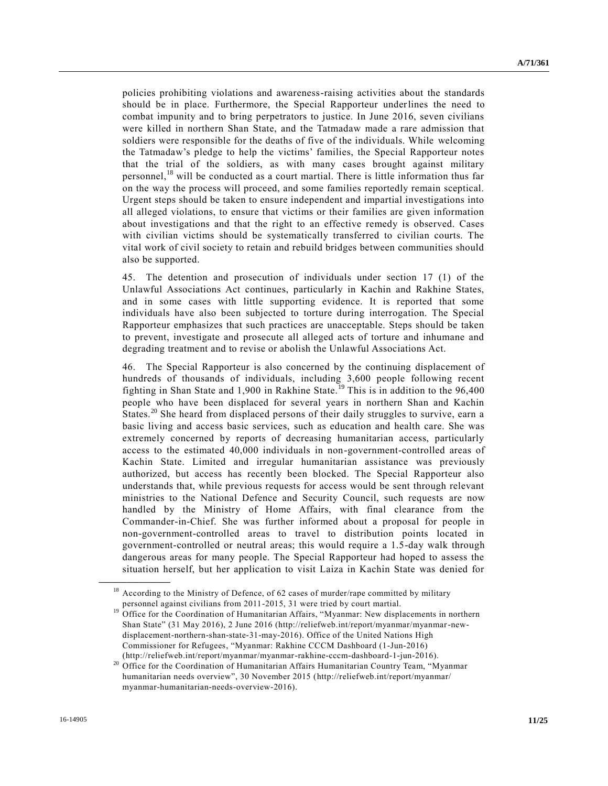policies prohibiting violations and awareness-raising activities about the standards should be in place. Furthermore, the Special Rapporteur underlines the need to combat impunity and to bring perpetrators to justice. In June 2016, seven civilians were killed in northern Shan State, and the Tatmadaw made a rare admission that soldiers were responsible for the deaths of five of the individuals. While welcoming the Tatmadaw's pledge to help the victims' families, the Special Rapporteur notes that the trial of the soldiers, as with many cases brought against military personnel,<sup>18</sup> will be conducted as a court martial. There is little information thus far on the way the process will proceed, and some families reportedly remain sceptical. Urgent steps should be taken to ensure independent and impartial investigations into all alleged violations, to ensure that victims or their families are given information about investigations and that the right to an effective remedy is observed. Cases with civilian victims should be systematically transferred to civilian courts. The vital work of civil society to retain and rebuild bridges between communities should also be supported.

45. The detention and prosecution of individuals under section 17 (1) of the Unlawful Associations Act continues, particularly in Kachin and Rakhine States, and in some cases with little supporting evidence. It is reported that some individuals have also been subjected to torture during interrogation. The Special Rapporteur emphasizes that such practices are unacceptable. Steps should be taken to prevent, investigate and prosecute all alleged acts of torture and inhumane and degrading treatment and to revise or abolish the Unlawful Associations Act.

46. The Special Rapporteur is also concerned by the continuing displacement of hundreds of thousands of individuals, including 3,600 people following recent fighting in Shan State and 1,900 in Rakhine State.<sup>19</sup> This is in addition to the  $96,400$ people who have been displaced for several years in northern Shan and Kachin States.<sup>20</sup> She heard from displaced persons of their daily struggles to survive, earn a basic living and access basic services, such as education and health care. She was extremely concerned by reports of decreasing humanitarian access, particularly access to the estimated 40,000 individuals in non-government-controlled areas of Kachin State. Limited and irregular humanitarian assistance was previously authorized, but access has recently been blocked. The Special Rapporteur also understands that, while previous requests for access would be sent through relevant ministries to the National Defence and Security Council, such requests are now handled by the Ministry of Home Affairs, with final clearance from the Commander-in-Chief. She was further informed about a proposal for people in non-government-controlled areas to travel to distribution points located in government-controlled or neutral areas; this would require a 1.5-day walk through dangerous areas for many people. The Special Rapporteur had hoped to assess the situation herself, but her application to visit Laiza in Kachin State was denied for

<sup>&</sup>lt;sup>18</sup> According to the Ministry of Defence, of 62 cases of murder/rape committed by military personnel against civilians from 2011-2015, 31 were tried by court martial.

<sup>&</sup>lt;sup>19</sup> Office for the Coordination of Humanitarian Affairs, "Myanmar: New displacements in northern Shan State" (31 May 2016), 2 June 2016 (http://reliefweb.int/report/myanmar/myanmar-newdisplacement-northern-shan-state-31-may-2016). Office of the United Nations High Commissioner for Refugees, "Myanmar: Rakhine CCCM Dashboard (1-Jun-2016) (http://reliefweb.int/report/myanmar/myanmar-rakhine-cccm-dashboard-1-jun-2016).

<sup>&</sup>lt;sup>20</sup> Office for the Coordination of Humanitarian Affairs Humanitarian Country Team, "Myanmar humanitarian needs overview", 30 November 2015 (http://reliefweb.int/report/myanmar/ myanmar-humanitarian-needs-overview-2016).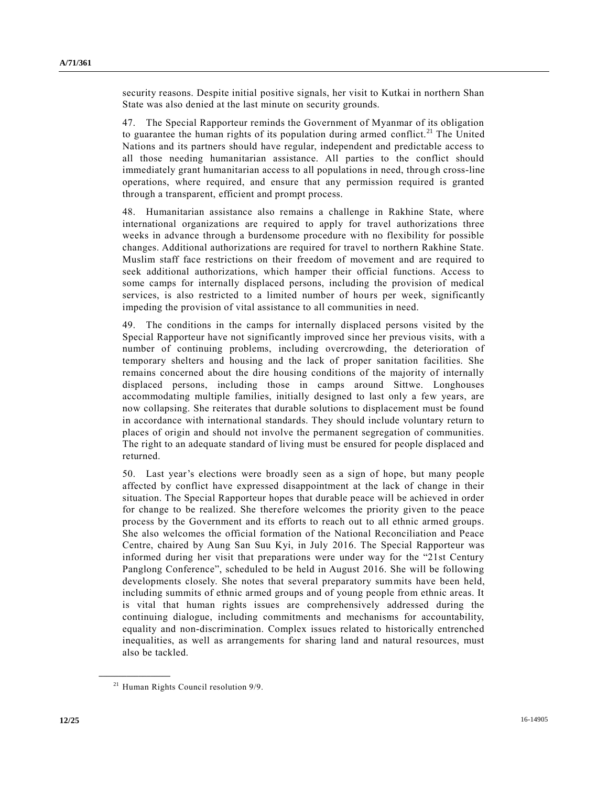security reasons. Despite initial positive signals, her visit to Kutkai in northern Shan State was also denied at the last minute on security grounds.

47. The Special Rapporteur reminds the Government of Myanmar of its obligation to guarantee the human rights of its population during armed conflict.<sup>21</sup> The United Nations and its partners should have regular, independent and predictable access to all those needing humanitarian assistance. All parties to the conflict should immediately grant humanitarian access to all populations in need, through cross-line operations, where required, and ensure that any permission required is granted through a transparent, efficient and prompt process.

48. Humanitarian assistance also remains a challenge in Rakhine State, where international organizations are required to apply for travel authorizations three weeks in advance through a burdensome procedure with no flexibility for possible changes. Additional authorizations are required for travel to northern Rakhine State. Muslim staff face restrictions on their freedom of movement and are required to seek additional authorizations, which hamper their official functions. Access to some camps for internally displaced persons, including the provision of medical services, is also restricted to a limited number of hours per week, significantly impeding the provision of vital assistance to all communities in need.

49. The conditions in the camps for internally displaced persons visited by the Special Rapporteur have not significantly improved since her previous visits, with a number of continuing problems, including overcrowding, the deterioration of temporary shelters and housing and the lack of proper sanitation facilities. She remains concerned about the dire housing conditions of the majority of internally displaced persons, including those in camps around Sittwe. Longhouses accommodating multiple families, initially designed to last only a few years, are now collapsing. She reiterates that durable solutions to displacement must be found in accordance with international standards. They should include voluntary return to places of origin and should not involve the permanent segregation of communities. The right to an adequate standard of living must be ensured for people displaced and returned.

50. Last year's elections were broadly seen as a sign of hope, but many people affected by conflict have expressed disappointment at the lack of change in their situation. The Special Rapporteur hopes that durable peace will be achieved in order for change to be realized. She therefore welcomes the priority given to the peace process by the Government and its efforts to reach out to all ethnic armed groups. She also welcomes the official formation of the National Reconciliation and Peace Centre, chaired by Aung San Suu Kyi, in July 2016. The Special Rapporteur was informed during her visit that preparations were under way for the "21st Century Panglong Conference", scheduled to be held in August 2016. She will be following developments closely. She notes that several preparatory summits have been held, including summits of ethnic armed groups and of young people from ethnic areas. It is vital that human rights issues are comprehensively addressed during the continuing dialogue, including commitments and mechanisms for accountability, equality and non-discrimination. Complex issues related to historically entrenched inequalities, as well as arrangements for sharing land and natural resources, must also be tackled.

<sup>&</sup>lt;sup>21</sup> Human Rights Council resolution 9/9.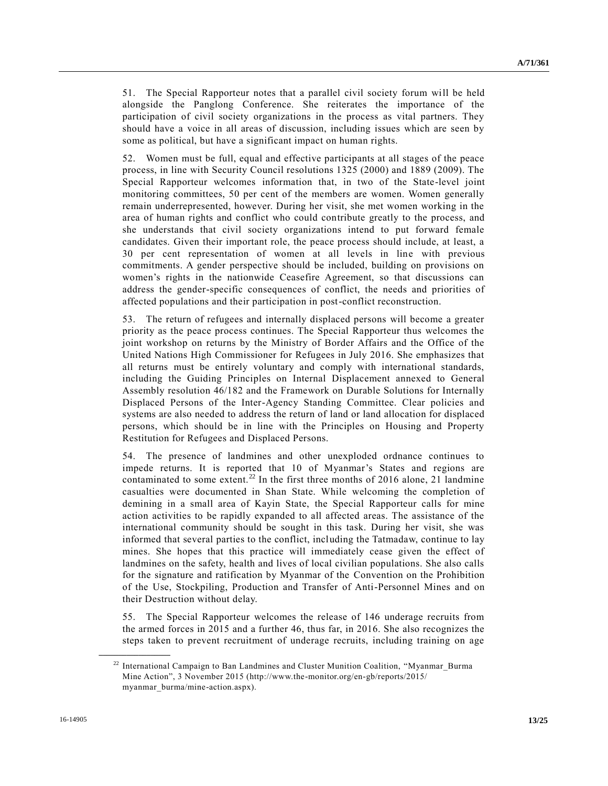51. The Special Rapporteur notes that a parallel civil society forum will be held alongside the Panglong Conference. She reiterates the importance of the participation of civil society organizations in the process as vital partners. They should have a voice in all areas of discussion, including issues which are seen by some as political, but have a significant impact on human rights.

52. Women must be full, equal and effective participants at all stages of the peace process, in line with Security Council resolutions 1325 (2000) and 1889 (2009). The Special Rapporteur welcomes information that, in two of the State-level joint monitoring committees, 50 per cent of the members are women. Women generally remain underrepresented, however. During her visit, she met women working in the area of human rights and conflict who could contribute greatly to the process, and she understands that civil society organizations intend to put forward female candidates. Given their important role, the peace process should include, at least, a 30 per cent representation of women at all levels in line with previous commitments. A gender perspective should be included, building on provisions on women's rights in the nationwide Ceasefire Agreement, so that discussions can address the gender-specific consequences of conflict, the needs and priorities of affected populations and their participation in post-conflict reconstruction.

53. The return of refugees and internally displaced persons will become a greater priority as the peace process continues. The Special Rapporteur thus welcomes the joint workshop on returns by the Ministry of Border Affairs and the Office of the United Nations High Commissioner for Refugees in July 2016. She emphasizes that all returns must be entirely voluntary and comply with international standards, including the Guiding Principles on Internal Displacement annexed to General Assembly resolution 46/182 and the Framework on Durable Solutions for Internally Displaced Persons of the Inter-Agency Standing Committee. Clear policies and systems are also needed to address the return of land or land allocation for displaced persons, which should be in line with the Principles on Housing and Property Restitution for Refugees and Displaced Persons.

54. The presence of landmines and other unexploded ordnance continues to impede returns. It is reported that 10 of Myanmar's States and regions are contaminated to some extent.<sup>22</sup> In the first three months of 2016 alone, 21 landmine casualties were documented in Shan State. While welcoming the completion of demining in a small area of Kayin State, the Special Rapporteur calls for mine action activities to be rapidly expanded to all affected areas. The assistance of the international community should be sought in this task. During her visit, she was informed that several parties to the conflict, including the Tatmadaw, continue to lay mines. She hopes that this practice will immediately cease given the effect of landmines on the safety, health and lives of local civilian populations. She also calls for the signature and ratification by Myanmar of the Convention on the Prohibition of the Use, Stockpiling, Production and Transfer of Anti-Personnel Mines and on their Destruction without delay.

55. The Special Rapporteur welcomes the release of 146 underage recruits from the armed forces in 2015 and a further 46, thus far, in 2016. She also recognizes the steps taken to prevent recruitment of underage recruits, including training on age

 $22$  International Campaign to Ban Landmines and Cluster Munition Coalition, "Myanmar\_Burma Mine Action", 3 November 2015 (http://www.the-monitor.org/en-gb/reports/2015/ myanmar\_burma/mine-action.aspx).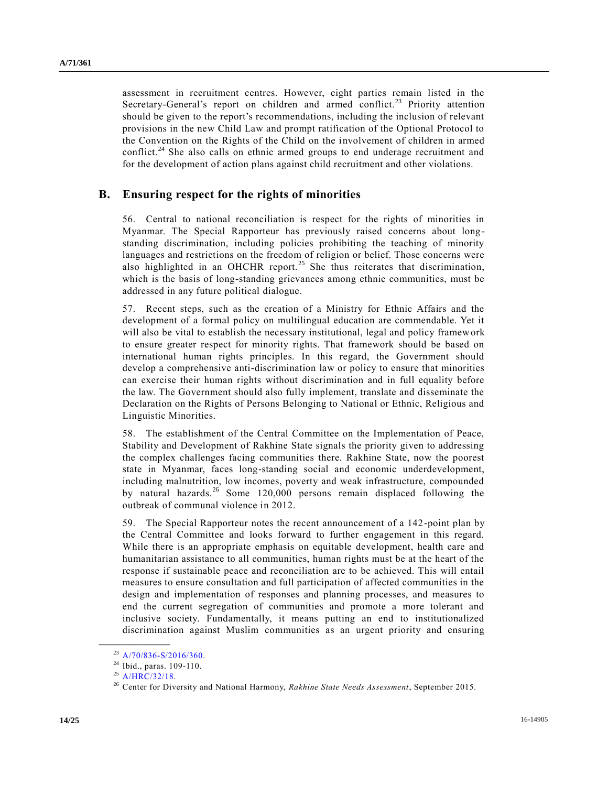assessment in recruitment centres. However, eight parties remain listed in the Secretary-General's report on children and armed conflict.<sup>23</sup> Priority attention should be given to the report's recommendations, including the inclusion of relevant provisions in the new Child Law and prompt ratification of the Optional Protocol to the Convention on the Rights of the Child on the involvement of children in armed conflict.<sup>24</sup> She also calls on ethnic armed groups to end underage recruitment and for the development of action plans against child recruitment and other violations.

#### **B. Ensuring respect for the rights of minorities**

56. Central to national reconciliation is respect for the rights of minorities in Myanmar. The Special Rapporteur has previously raised concerns about longstanding discrimination, including policies prohibiting the teaching of minority languages and restrictions on the freedom of religion or belief. Those concerns were also highlighted in an OHCHR report.<sup>25</sup> She thus reiterates that discrimination, which is the basis of long-standing grievances among ethnic communities, must be addressed in any future political dialogue.

57. Recent steps, such as the creation of a Ministry for Ethnic Affairs and the development of a formal policy on multilingual education are commendable. Yet it will also be vital to establish the necessary institutional, legal and policy framework to ensure greater respect for minority rights. That framework should be based on international human rights principles. In this regard, the Government should develop a comprehensive anti-discrimination law or policy to ensure that minorities can exercise their human rights without discrimination and in full equality before the law. The Government should also fully implement, translate and disseminate the Declaration on the Rights of Persons Belonging to National or Ethnic, Religious and Linguistic Minorities.

58. The establishment of the Central Committee on the Implementation of Peace, Stability and Development of Rakhine State signals the priority given to addressing the complex challenges facing communities there. Rakhine State, now the poorest state in Myanmar, faces long-standing social and economic underdevelopment, including malnutrition, low incomes, poverty and weak infrastructure, compounded by natural hazards.<sup>26</sup> Some 120,000 persons remain displaced following the outbreak of communal violence in 2012.

59. The Special Rapporteur notes the recent announcement of a 142-point plan by the Central Committee and looks forward to further engagement in this regard. While there is an appropriate emphasis on equitable development, health care and humanitarian assistance to all communities, human rights must be at the heart of the response if sustainable peace and reconciliation are to be achieved. This will entail measures to ensure consultation and full participation of affected communities in the design and implementation of responses and planning processes, and measures to end the current segregation of communities and promote a more tolerant and inclusive society. Fundamentally, it means putting an end to institutionalized discrimination against Muslim communities as an urgent priority and ensuring

 $23$  [A/70/836-S/2016/360.](http://undocs.org/A/70/836–S/2016/360)

<sup>24</sup> Ibid., paras. 109-110.

 $^{25}$  [A/HRC/32/18.](http://undocs.org/A/HRC/32/18)

<sup>26</sup> Center for Diversity and National Harmony, *Rakhine State Needs Assessment*, September 2015.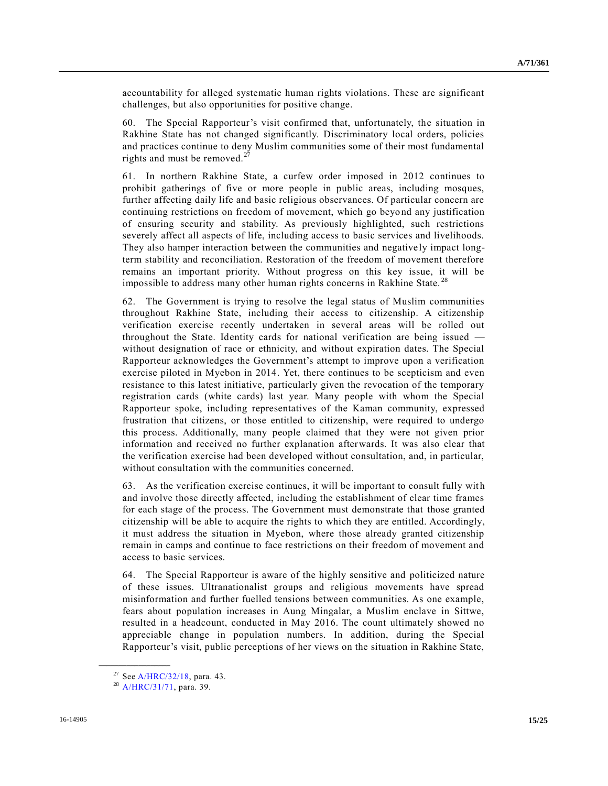accountability for alleged systematic human rights violations. These are significant challenges, but also opportunities for positive change.

60. The Special Rapporteur's visit confirmed that, unfortunately, the situation in Rakhine State has not changed significantly. Discriminatory local orders, policies and practices continue to deny Muslim communities some of their most fundamental rights and must be removed.<sup>27</sup>

61. In northern Rakhine State, a curfew order imposed in 2012 continues to prohibit gatherings of five or more people in public areas, including mosques, further affecting daily life and basic religious observances. Of particular concern are continuing restrictions on freedom of movement, which go beyond any justification of ensuring security and stability. As previously highlighted, such restrictions severely affect all aspects of life, including access to basic services and livelihoods. They also hamper interaction between the communities and negatively impact longterm stability and reconciliation. Restoration of the freedom of movement therefore remains an important priority. Without progress on this key issue, it will be impossible to address many other human rights concerns in Rakhine State.<sup>28</sup>

62. The Government is trying to resolve the legal status of Muslim communities throughout Rakhine State, including their access to citizenship. A citizenship verification exercise recently undertaken in several areas will be rolled out throughout the State. Identity cards for national verification are being issued without designation of race or ethnicity, and without expiration dates. The Special Rapporteur acknowledges the Government's attempt to improve upon a verification exercise piloted in Myebon in 2014. Yet, there continues to be scepticism and even resistance to this latest initiative, particularly given the revocation of the temporary registration cards (white cards) last year. Many people with whom the Special Rapporteur spoke, including representatives of the Kaman community, expressed frustration that citizens, or those entitled to citizenship, were required to undergo this process. Additionally, many people claimed that they were not given prior information and received no further explanation afterwards. It was also clear that the verification exercise had been developed without consultation, and, in particular, without consultation with the communities concerned.

63. As the verification exercise continues, it will be important to consult fully wit h and involve those directly affected, including the establishment of clear time frames for each stage of the process. The Government must demonstrate that those granted citizenship will be able to acquire the rights to which they are entitled. Accordingly, it must address the situation in Myebon, where those already granted citizenship remain in camps and continue to face restrictions on their freedom of movement and access to basic services.

64. The Special Rapporteur is aware of the highly sensitive and politicized nature of these issues. Ultranationalist groups and religious movements have spread misinformation and further fuelled tensions between communities. As one example, fears about population increases in Aung Mingalar, a Muslim enclave in Sittwe, resulted in a headcount, conducted in May 2016. The count ultimately showed no appreciable change in population numbers. In addition, during the Special Rapporteur's visit, public perceptions of her views on the situation in Rakhine State,

<sup>27</sup> Se[e A/HRC/32/18,](http://undocs.org/A/HRC/32/18) para. 43.

<sup>&</sup>lt;sup>28</sup> [A/HRC/31/71,](http://undocs.org/A/HRC/31/71) para. 39.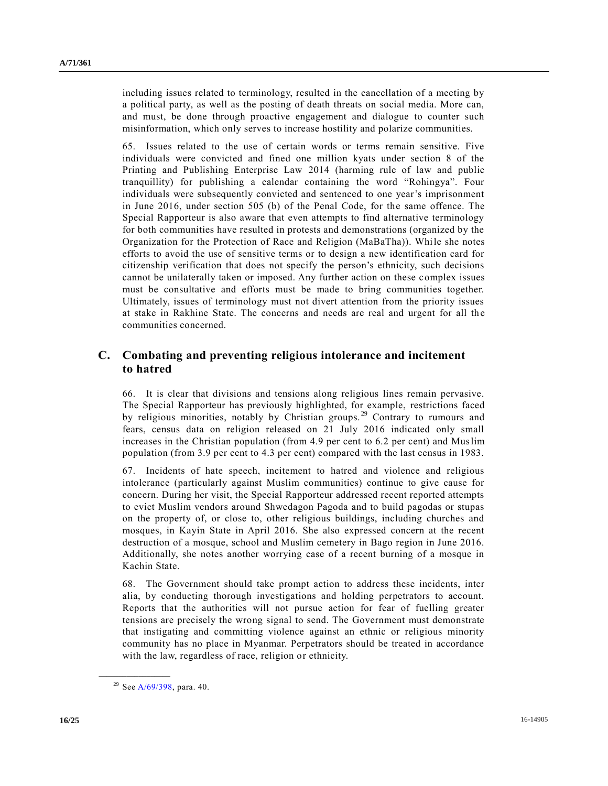including issues related to terminology, resulted in the cancellation of a meeting by a political party, as well as the posting of death threats on social media. More can, and must, be done through proactive engagement and dialogue to counter such misinformation, which only serves to increase hostility and polarize communities.

65. Issues related to the use of certain words or terms remain sensitive. Five individuals were convicted and fined one million kyats under section 8 of the Printing and Publishing Enterprise Law 2014 (harming rule of law and public tranquillity) for publishing a calendar containing the word "Rohingya". Four individuals were subsequently convicted and sentenced to one year's imprisonment in June 2016, under section 505 (b) of the Penal Code, for the same offence. The Special Rapporteur is also aware that even attempts to find alternative terminology for both communities have resulted in protests and demonstrations (organized by the Organization for the Protection of Race and Religion (MaBaTha)). While she notes efforts to avoid the use of sensitive terms or to design a new identification card for citizenship verification that does not specify the person's ethnicity, such decisions cannot be unilaterally taken or imposed. Any further action on these complex issues must be consultative and efforts must be made to bring communities together. Ultimately, issues of terminology must not divert attention from the priority issues at stake in Rakhine State. The concerns and needs are real and urgent for all the communities concerned.

### **C. Combating and preventing religious intolerance and incitement to hatred**

66. It is clear that divisions and tensions along religious lines remain pervasive. The Special Rapporteur has previously highlighted, for example, restrictions faced by religious minorities, notably by Christian groups.<sup>29</sup> Contrary to rumours and fears, census data on religion released on 21 July 2016 indicated only small increases in the Christian population (from 4.9 per cent to 6.2 per cent) and Muslim population (from 3.9 per cent to 4.3 per cent) compared with the last census in 1983.

67. Incidents of hate speech, incitement to hatred and violence and religious intolerance (particularly against Muslim communities) continue to give cause for concern. During her visit, the Special Rapporteur addressed recent reported attempts to evict Muslim vendors around Shwedagon Pagoda and to build pagodas or stupas on the property of, or close to, other religious buildings, including churches and mosques, in Kayin State in April 2016. She also expressed concern at the recent destruction of a mosque, school and Muslim cemetery in Bago region in June 2016. Additionally, she notes another worrying case of a recent burning of a mosque in Kachin State.

68. The Government should take prompt action to address these incidents, inter alia, by conducting thorough investigations and holding perpetrators to account. Reports that the authorities will not pursue action for fear of fuelling greater tensions are precisely the wrong signal to send. The Government must demonstrate that instigating and committing violence against an ethnic or religious minority community has no place in Myanmar. Perpetrators should be treated in accordance with the law, regardless of race, religion or ethnicity.

<sup>&</sup>lt;sup>29</sup> Se[e A/69/398,](http://undocs.org/A/69/398) para. 40.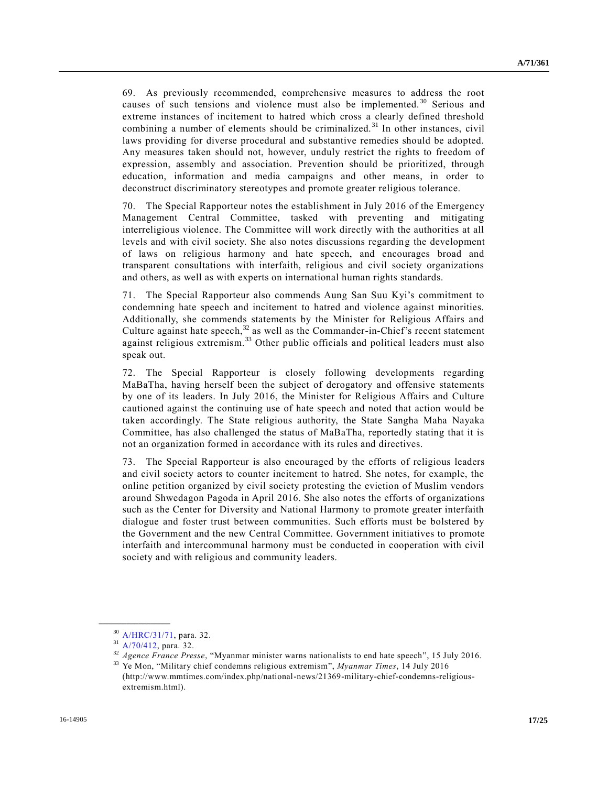69. As previously recommended, comprehensive measures to address the root causes of such tensions and violence must also be implemented.<sup>30</sup> Serious and extreme instances of incitement to hatred which cross a clearly defined threshold combining a number of elements should be criminalized.<sup>31</sup> In other instances, civil laws providing for diverse procedural and substantive remedies should be adopted. Any measures taken should not, however, unduly restrict the rights to freedom of expression, assembly and association. Prevention should be prioritized, through education, information and media campaigns and other means, in order to deconstruct discriminatory stereotypes and promote greater religious tolerance.

70. The Special Rapporteur notes the establishment in July 2016 of the Emergency Management Central Committee, tasked with preventing and mitigating interreligious violence. The Committee will work directly with the authorities at all levels and with civil society. She also notes discussions regarding the development of laws on religious harmony and hate speech, and encourages broad and transparent consultations with interfaith, religious and civil society organizations and others, as well as with experts on international human rights standards.

71. The Special Rapporteur also commends Aung San Suu Kyi's commitment to condemning hate speech and incitement to hatred and violence against minorities. Additionally, she commends statements by the Minister for Religious Affairs and Culture against hate speech,<sup>32</sup> as well as the Commander-in-Chief's recent statement against religious extremism.<sup>33</sup> Other public officials and political leaders must also speak out.

72. The Special Rapporteur is closely following developments regarding MaBaTha, having herself been the subject of derogatory and offensive statements by one of its leaders. In July 2016, the Minister for Religious Affairs and Culture cautioned against the continuing use of hate speech and noted that action would be taken accordingly. The State religious authority, the State Sangha Maha Nayaka Committee, has also challenged the status of MaBaTha, reportedly stating that it is not an organization formed in accordance with its rules and directives.

73. The Special Rapporteur is also encouraged by the efforts of religious leaders and civil society actors to counter incitement to hatred. She notes, for example, the online petition organized by civil society protesting the eviction of Muslim vendors around Shwedagon Pagoda in April 2016. She also notes the efforts of organizations such as the Center for Diversity and National Harmony to promote greater interfaith dialogue and foster trust between communities. Such efforts must be bolstered by the Government and the new Central Committee. Government initiatives to promote interfaith and intercommunal harmony must be conducted in cooperation with civil society and with religious and community leaders.

<sup>30</sup> [A/HRC/31/71,](http://undocs.org/A/HRC/31/71) para. 32.

<sup>31</sup> [A/70/412,](http://undocs.org/A/70/412) para. 32.

<sup>32</sup> *Agence France Presse*, "Myanmar minister warns nationalists to end hate speech", 15 July 2016.

<sup>33</sup> Ye Mon, "Military chief condemns religious extremism", *Myanmar Times*, 14 July 2016 (http://www.mmtimes.com/index.php/national-news/21369-military-chief-condemns-religiousextremism.html).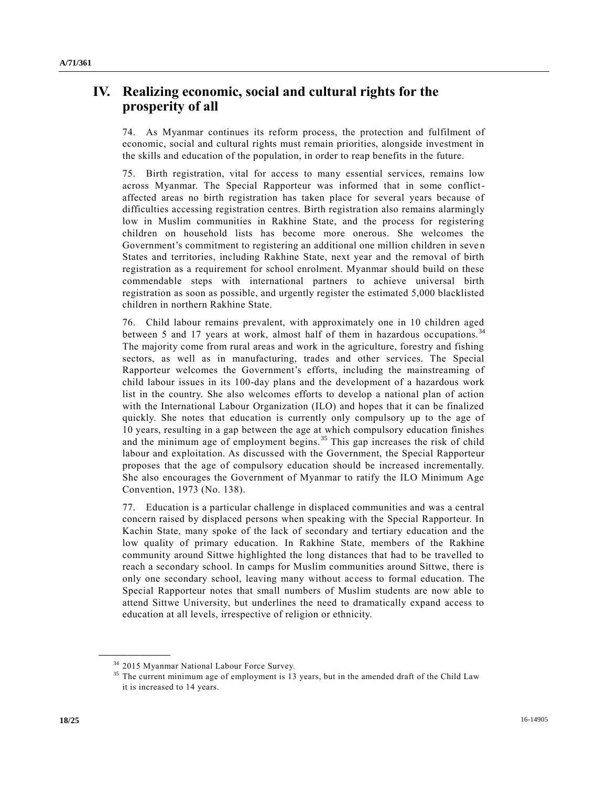# **IV. Realizing economic, social and cultural rights for the prosperity of all**

74. As Myanmar continues its reform process, the protection and fulfilment of economic, social and cultural rights must remain priorities, alongside investment in the skills and education of the population, in order to reap benefits in the future.

75. Birth registration, vital for access to many essential services, remains low across Myanmar. The Special Rapporteur was informed that in some conflictaffected areas no birth registration has taken place for several years because of difficulties accessing registration centres. Birth registration also remains alarmingly low in Muslim communities in Rakhine State, and the process for registering children on household lists has become more onerous. She welcomes the Government's commitment to registering an additional one million children in seven States and territories, including Rakhine State, next year and the removal of birth registration as a requirement for school enrolment. Myanmar should build on these commendable steps with international partners to achieve universal birth registration as soon as possible, and urgently register the estimated 5,000 blacklisted children in northern Rakhine State.

76. Child labour remains prevalent, with approximately one in 10 children aged between 5 and 17 years at work, almost half of them in hazardous occupations.<sup>34</sup> The majority come from rural areas and work in the agriculture, forestry and fishing sectors, as well as in manufacturing, trades and other services. The Special Rapporteur welcomes the Government's efforts, including the mainstreaming of child labour issues in its 100-day plans and the development of a hazardous work list in the country. She also welcomes efforts to develop a national plan of action with the International Labour Organization (ILO) and hopes that it can be finalized quickly. She notes that education is currently only compulsory up to the age of 10 years, resulting in a gap between the age at which compulsory education finishes and the minimum age of employment begins.<sup>35</sup> This gap increases the risk of child labour and exploitation. As discussed with the Government, the Special Rapporteur proposes that the age of compulsory education should be increased incrementally. She also encourages the Government of Myanmar to ratify the ILO Minimum Age Convention, 1973 (No. 138).

77. Education is a particular challenge in displaced communities and was a central concern raised by displaced persons when speaking with the Special Rapporteur. In Kachin State, many spoke of the lack of secondary and tertiary education and the low quality of primary education. In Rakhine State, members of the Rakhine community around Sittwe highlighted the long distances that had to be travelled to reach a secondary school. In camps for Muslim communities around Sittwe, there is only one secondary school, leaving many without access to formal education. The Special Rapporteur notes that small numbers of Muslim students are now able to attend Sittwe University, but underlines the need to dramatically expand access to education at all levels, irrespective of religion or ethnicity.

<sup>34</sup> 2015 Myanmar National Labour Force Survey.

<sup>&</sup>lt;sup>35</sup> The current minimum age of employment is 13 years, but in the amended draft of the Child Law it is increased to 14 years.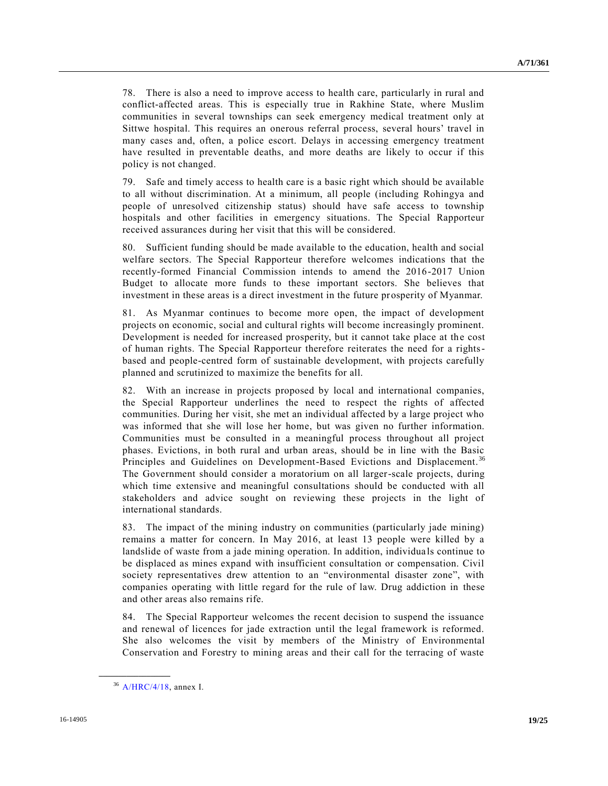78. There is also a need to improve access to health care, particularly in rural and conflict-affected areas. This is especially true in Rakhine State, where Muslim communities in several townships can seek emergency medical treatment only at Sittwe hospital. This requires an onerous referral process, several hours' travel in many cases and, often, a police escort. Delays in accessing emergency treatment have resulted in preventable deaths, and more deaths are likely to occur if this policy is not changed.

79. Safe and timely access to health care is a basic right which should be available to all without discrimination. At a minimum, all people (including Rohingya and people of unresolved citizenship status) should have safe access to township hospitals and other facilities in emergency situations. The Special Rapporteur received assurances during her visit that this will be considered.

80. Sufficient funding should be made available to the education, health and social welfare sectors. The Special Rapporteur therefore welcomes indications that the recently-formed Financial Commission intends to amend the 2016-2017 Union Budget to allocate more funds to these important sectors. She believes that investment in these areas is a direct investment in the future prosperity of Myanmar.

81. As Myanmar continues to become more open, the impact of development projects on economic, social and cultural rights will become increasingly prominent. Development is needed for increased prosperity, but it cannot take place at the cost of human rights. The Special Rapporteur therefore reiterates the need for a rightsbased and people-centred form of sustainable development, with projects carefully planned and scrutinized to maximize the benefits for all.

82. With an increase in projects proposed by local and international companies, the Special Rapporteur underlines the need to respect the rights of affected communities. During her visit, she met an individual affected by a large project who was informed that she will lose her home, but was given no further information. Communities must be consulted in a meaningful process throughout all project phases. Evictions, in both rural and urban areas, should be in line with the Basic Principles and Guidelines on Development-Based Evictions and Displacement.<sup>36</sup> The Government should consider a moratorium on all larger-scale projects, during which time extensive and meaningful consultations should be conducted with all stakeholders and advice sought on reviewing these projects in the light of international standards.

83. The impact of the mining industry on communities (particularly jade mining) remains a matter for concern. In May 2016, at least 13 people were killed by a landslide of waste from a jade mining operation. In addition, individua ls continue to be displaced as mines expand with insufficient consultation or compensation. Civil society representatives drew attention to an "environmental disaster zone", with companies operating with little regard for the rule of law. Drug addiction in these and other areas also remains rife.

84. The Special Rapporteur welcomes the recent decision to suspend the issuance and renewal of licences for jade extraction until the legal framework is reformed. She also welcomes the visit by members of the Ministry of Environmental Conservation and Forestry to mining areas and their call for the terracing of waste

<sup>36</sup> [A/HRC/4/18,](http://undocs.org/A/HRC/4/18) annex I.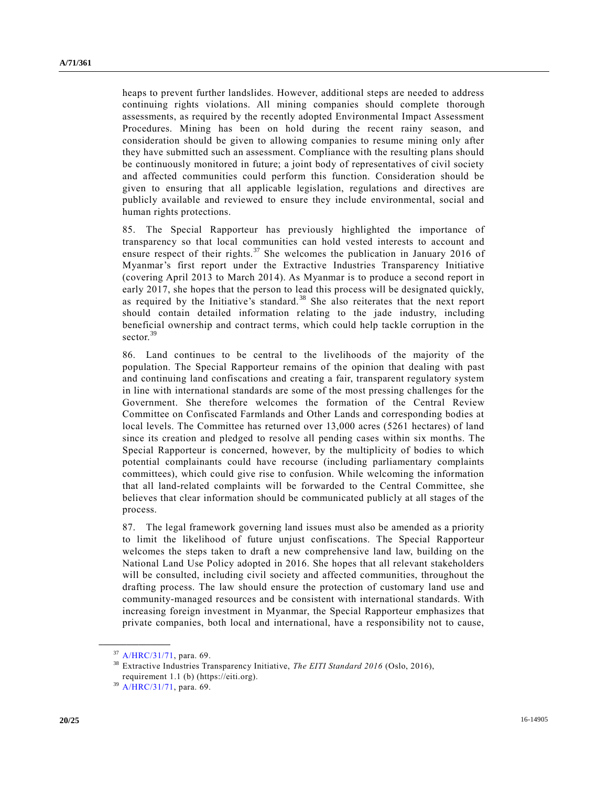heaps to prevent further landslides. However, additional steps are needed to address continuing rights violations. All mining companies should complete thorough assessments, as required by the recently adopted Environmental Impact Assessment Procedures. Mining has been on hold during the recent rainy season, and consideration should be given to allowing companies to resume mining only after they have submitted such an assessment. Compliance with the resulting plans should be continuously monitored in future; a joint body of representatives of civil society and affected communities could perform this function. Consideration should be given to ensuring that all applicable legislation, regulations and directives are publicly available and reviewed to ensure they include environmental, social and human rights protections.

85. The Special Rapporteur has previously highlighted the importance of transparency so that local communities can hold vested interests to account and ensure respect of their rights.<sup>37</sup> She welcomes the publication in January 2016 of Myanmar's first report under the Extractive Industries Transparency Initiative (covering April 2013 to March 2014). As Myanmar is to produce a second report in early 2017, she hopes that the person to lead this process will be designated quickly, as required by the Initiative's standard. <sup>38</sup> She also reiterates that the next report should contain detailed information relating to the jade industry, including beneficial ownership and contract terms, which could help tackle corruption in the sector.<sup>39</sup>

86. Land continues to be central to the livelihoods of the majority of the population. The Special Rapporteur remains of the opinion that dealing with past and continuing land confiscations and creating a fair, transparent regulatory system in line with international standards are some of the most pressing challenges for the Government. She therefore welcomes the formation of the Central Review Committee on Confiscated Farmlands and Other Lands and corresponding bodies at local levels. The Committee has returned over 13,000 acres (5261 hectares) of land since its creation and pledged to resolve all pending cases within six months. The Special Rapporteur is concerned, however, by the multiplicity of bodies to which potential complainants could have recourse (including parliamentary complaints committees), which could give rise to confusion. While welcoming the information that all land-related complaints will be forwarded to the Central Committee, she believes that clear information should be communicated publicly at all stages of the process.

87. The legal framework governing land issues must also be amended as a priority to limit the likelihood of future unjust confiscations. The Special Rapporteur welcomes the steps taken to draft a new comprehensive land law, building on the National Land Use Policy adopted in 2016. She hopes that all relevant stakeholders will be consulted, including civil society and affected communities, throughout the drafting process. The law should ensure the protection of customary land use and community-managed resources and be consistent with international standards. With increasing foreign investment in Myanmar, the Special Rapporteur emphasizes that private companies, both local and international, have a responsibility not to cause,

<sup>37</sup> [A/HRC/31/71,](http://undocs.org/A/HRC/31/71) para. 69.

<sup>38</sup> Extractive Industries Transparency Initiative, *The EITI Standard 2016* (Oslo, 2016), requirement 1.1 (b) (https://eiti.org).

<sup>39</sup> [A/HRC/31/71,](http://undocs.org/A/HRC/31/71) para. 69.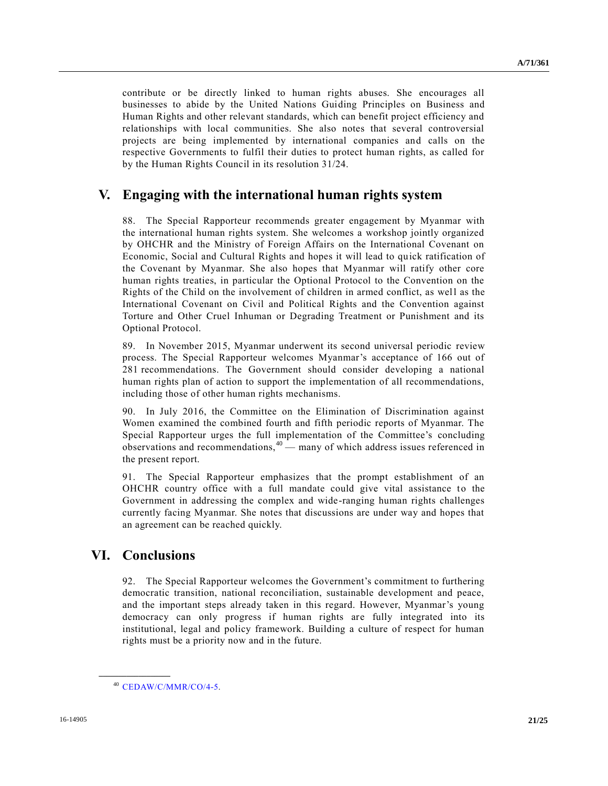contribute or be directly linked to human rights abuses. She encourages all businesses to abide by the United Nations Guiding Principles on Business and Human Rights and other relevant standards, which can benefit project efficiency and relationships with local communities. She also notes that several controversial projects are being implemented by international companies and calls on the respective Governments to fulfil their duties to protect human rights, as called for by the Human Rights Council in its resolution 31/24.

# **V. Engaging with the international human rights system**

88. The Special Rapporteur recommends greater engagement by Myanmar with the international human rights system. She welcomes a workshop jointly organized by OHCHR and the Ministry of Foreign Affairs on the International Covenant on Economic, Social and Cultural Rights and hopes it will lead to quick ratification of the Covenant by Myanmar. She also hopes that Myanmar will ratify other core human rights treaties, in particular the Optional Protocol to the Convention on the Rights of the Child on the involvement of children in armed conflict, as well as the International Covenant on Civil and Political Rights and the Convention against Torture and Other Cruel Inhuman or Degrading Treatment or Punishment and its Optional Protocol.

89. In November 2015, Myanmar underwent its second universal periodic review process. The Special Rapporteur welcomes Myanmar's acceptance of 166 out of 281 recommendations. The Government should consider developing a national human rights plan of action to support the implementation of all recommendations, including those of other human rights mechanisms.

90. In July 2016, the Committee on the Elimination of Discrimination against Women examined the combined fourth and fifth periodic reports of Myanmar. The Special Rapporteur urges the full implementation of the Committee's concluding observations and recommendations, $40$  — many of which address issues referenced in the present report.

91. The Special Rapporteur emphasizes that the prompt establishment of an OHCHR country office with a full mandate could give vital assistance to the Government in addressing the complex and wide-ranging human rights challenges currently facing Myanmar. She notes that discussions are under way and hopes that an agreement can be reached quickly.

# **VI. Conclusions**

**\_\_\_\_\_\_\_\_\_\_\_\_\_\_\_\_\_\_**

92. The Special Rapporteur welcomes the Government's commitment to furthering democratic transition, national reconciliation, sustainable development and peace, and the important steps already taken in this regard. However, Myanmar's young democracy can only progress if human rights are fully integrated into its institutional, legal and policy framework. Building a culture of respect for human rights must be a priority now and in the future.

<sup>40</sup> [CEDAW/C/MMR/CO/4-5.](http://undocs.org/CEDAW/C/MMR/CO-4-5)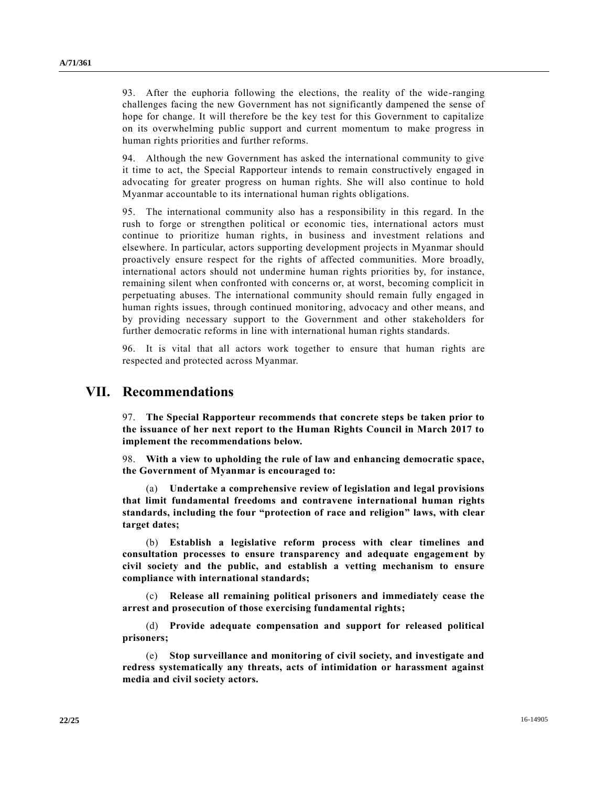93. After the euphoria following the elections, the reality of the wide -ranging challenges facing the new Government has not significantly dampened the sense of hope for change. It will therefore be the key test for this Government to capitalize on its overwhelming public support and current momentum to make progress in human rights priorities and further reforms.

94. Although the new Government has asked the international community to give it time to act, the Special Rapporteur intends to remain constructively engaged in advocating for greater progress on human rights. She will also continue to hold Myanmar accountable to its international human rights obligations.

95. The international community also has a responsibility in this regard. In the rush to forge or strengthen political or economic ties, international actors must continue to prioritize human rights, in business and investment relations and elsewhere. In particular, actors supporting development projects in Myanmar should proactively ensure respect for the rights of affected communities. More broadly, international actors should not undermine human rights priorities by, for instance, remaining silent when confronted with concerns or, at worst, becoming complicit in perpetuating abuses. The international community should remain fully engaged in human rights issues, through continued monitoring, advocacy and other means, and by providing necessary support to the Government and other stakeholders for further democratic reforms in line with international human rights standards.

96. It is vital that all actors work together to ensure that human rights are respected and protected across Myanmar.

### **VII. Recommendations**

97. **The Special Rapporteur recommends that concrete steps be taken prior to the issuance of her next report to the Human Rights Council in March 2017 to implement the recommendations below.**

98. **With a view to upholding the rule of law and enhancing democratic space, the Government of Myanmar is encouraged to:**

(a) **Undertake a comprehensive review of legislation and legal provisions that limit fundamental freedoms and contravene international human rights standards, including the four "protection of race and religion" laws, with clear target dates;** 

(b) **Establish a legislative reform process with clear timelines and consultation processes to ensure transparency and adequate engagement by civil society and the public, and establish a vetting mechanism to ensure compliance with international standards;**

(c) **Release all remaining political prisoners and immediately cease the arrest and prosecution of those exercising fundamental rights;**

(d) **Provide adequate compensation and support for released political prisoners;** 

(e) **Stop surveillance and monitoring of civil society, and investigate and redress systematically any threats, acts of intimidation or harassment against media and civil society actors.**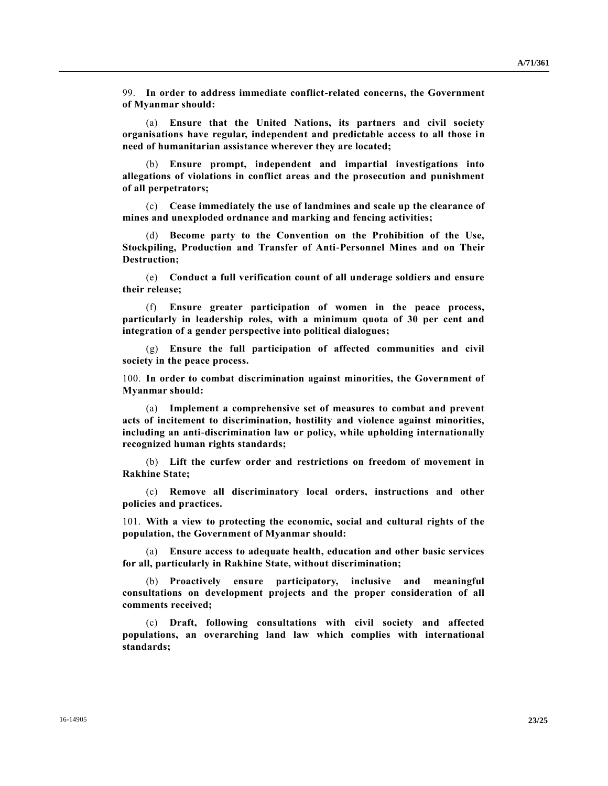99. **In order to address immediate conflict-related concerns, the Government of Myanmar should:**

(a) **Ensure that the United Nations, its partners and civil society organisations have regular, independent and predictable access to all those in need of humanitarian assistance wherever they are located;**

(b) **Ensure prompt, independent and impartial investigations into allegations of violations in conflict areas and the prosecution and punishment of all perpetrators;** 

(c) **Cease immediately the use of landmines and scale up the clearance of mines and unexploded ordnance and marking and fencing activities;**

Become party to the Convention on the Prohibition of the Use, **Stockpiling, Production and Transfer of Anti-Personnel Mines and on Their Destruction;**

(e) **Conduct a full verification count of all underage soldiers and ensure their release;**

(f) **Ensure greater participation of women in the peace process, particularly in leadership roles, with a minimum quota of 30 per cent and integration of a gender perspective into political dialogues;**

(g) **Ensure the full participation of affected communities and civil society in the peace process.** 

100. **In order to combat discrimination against minorities, the Government of Myanmar should:** 

(a) **Implement a comprehensive set of measures to combat and prevent acts of incitement to discrimination, hostility and violence against minorities, including an anti-discrimination law or policy, while upholding internationally recognized human rights standards;**

(b) **Lift the curfew order and restrictions on freedom of movement in Rakhine State;**

(c) **Remove all discriminatory local orders, instructions and other policies and practices.**

101. **With a view to protecting the economic, social and cultural rights of the population, the Government of Myanmar should:**

(a) **Ensure access to adequate health, education and other basic services for all, particularly in Rakhine State, without discrimination;**

(b) **Proactively ensure participatory, inclusive and meaningful consultations on development projects and the proper consideration of all comments received;**

(c) **Draft, following consultations with civil society and affected populations, an overarching land law which complies with international standards;**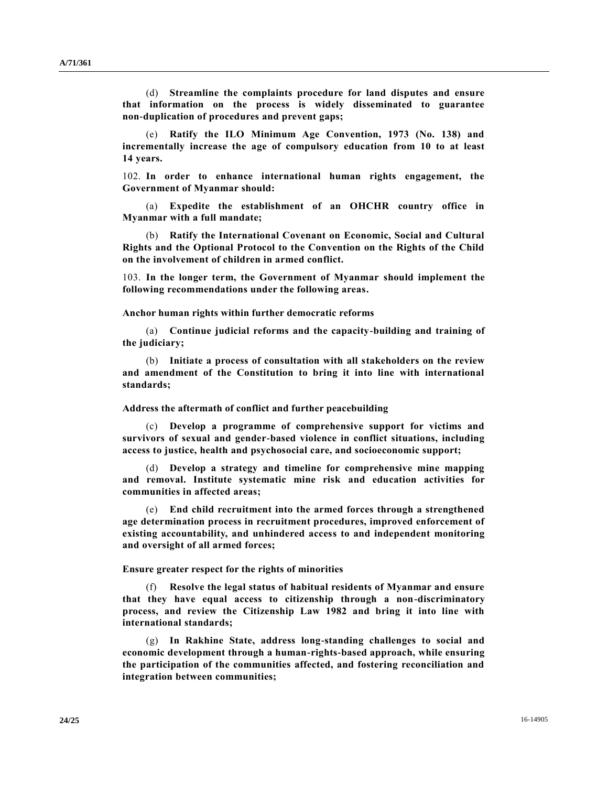(d) **Streamline the complaints procedure for land disputes and ensure that information on the process is widely disseminated to guarantee non-duplication of procedures and prevent gaps;**

(e) **Ratify the ILO Minimum Age Convention, 1973 (No. 138) and incrementally increase the age of compulsory education from 10 to at least 14 years.**

102. **In order to enhance international human rights engagement, the Government of Myanmar should:**

**Expedite the establishment of an OHCHR country office in Myanmar with a full mandate;**

(b) **Ratify the International Covenant on Economic, Social and Cultural Rights and the Optional Protocol to the Convention on the Rights of the Child on the involvement of children in armed conflict.**

103. **In the longer term, the Government of Myanmar should implement the following recommendations under the following areas.**

**Anchor human rights within further democratic reforms**

(a) **Continue judicial reforms and the capacity-building and training of the judiciary;** 

(b) **Initiate a process of consultation with all stakeholders on the review and amendment of the Constitution to bring it into line with international standards;** 

**Address the aftermath of conflict and further peacebuilding** 

(c) **Develop a programme of comprehensive support for victims and survivors of sexual and gender-based violence in conflict situations, including access to justice, health and psychosocial care, and socioeconomic support;** 

(d) **Develop a strategy and timeline for comprehensive mine mapping and removal. Institute systematic mine risk and education activities for communities in affected areas;** 

(e) **End child recruitment into the armed forces through a strengthened age determination process in recruitment procedures, improved enforcement of existing accountability, and unhindered access to and independent monitoring and oversight of all armed forces;**

**Ensure greater respect for the rights of minorities**

(f) **Resolve the legal status of habitual residents of Myanmar and ensure that they have equal access to citizenship through a non-discriminatory process, and review the Citizenship Law 1982 and bring it into line with international standards;**

(g) **In Rakhine State, address long-standing challenges to social and economic development through a human-rights-based approach, while ensuring the participation of the communities affected, and fostering reconciliation and integration between communities;**